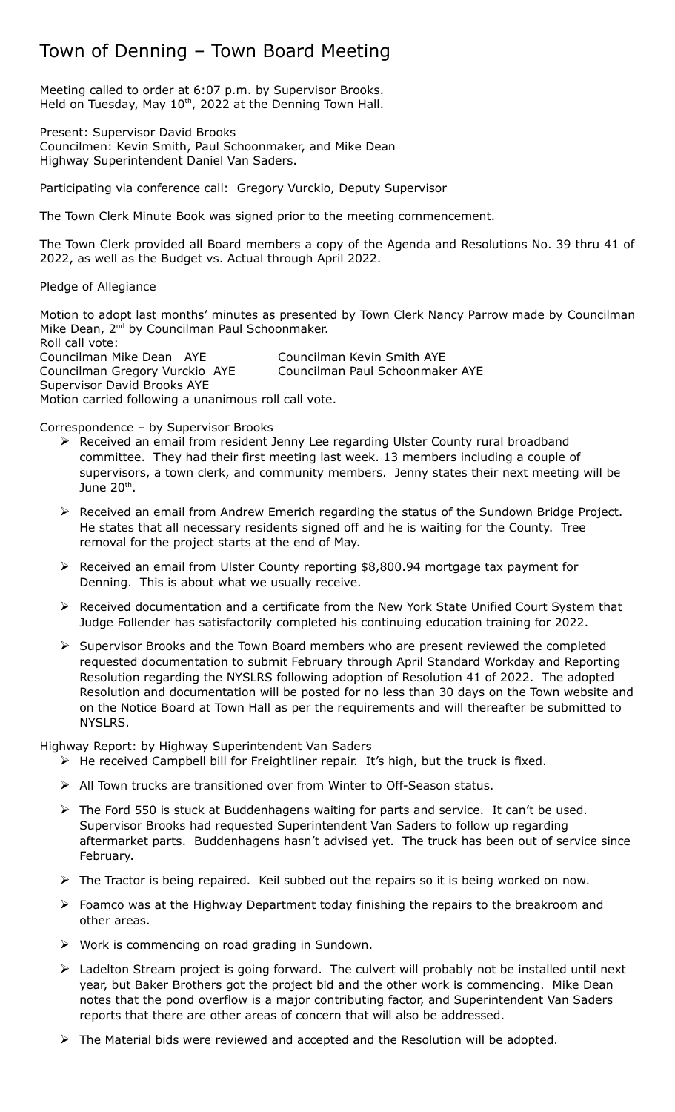# Town of Denning – Town Board Meeting

Meeting called to order at 6:07 p.m. by Supervisor Brooks. Held on Tuesday, May 10<sup>th</sup>, 2022 at the Denning Town Hall.

Present: Supervisor David Brooks Councilmen: Kevin Smith, Paul Schoonmaker, and Mike Dean Highway Superintendent Daniel Van Saders.

Participating via conference call: Gregory Vurckio, Deputy Supervisor

The Town Clerk Minute Book was signed prior to the meeting commencement.

The Town Clerk provided all Board members a copy of the Agenda and Resolutions No. 39 thru 41 of 2022, as well as the Budget vs. Actual through April 2022.

Pledge of Allegiance

Motion to adopt last months' minutes as presented by Town Clerk Nancy Parrow made by Councilman Mike Dean, 2<sup>nd</sup> by Councilman Paul Schoonmaker. Roll call vote:

Councilman Mike Dean AYE Councilman Kevin Smith AYE Councilman Gregory Vurckio AYE Councilman Paul Schoonmaker AYE Supervisor David Brooks AYE Motion carried following a unanimous roll call vote.

Correspondence – by Supervisor Brooks

- ▶ Received an email from resident Jenny Lee regarding Ulster County rural broadband committee. They had their first meeting last week. 13 members including a couple of supervisors, a town clerk, and community members. Jenny states their next meeting will be June 20<sup>th</sup>.
- Received an email from Andrew Emerich regarding the status of the Sundown Bridge Project. He states that all necessary residents signed off and he is waiting for the County. Tree removal for the project starts at the end of May.
- Received an email from Ulster County reporting \$8,800.94 mortgage tax payment for Denning. This is about what we usually receive.
- $\triangleright$  Received documentation and a certificate from the New York State Unified Court System that Judge Follender has satisfactorily completed his continuing education training for 2022.
- $\triangleright$  Supervisor Brooks and the Town Board members who are present reviewed the completed requested documentation to submit February through April Standard Workday and Reporting Resolution regarding the NYSLRS following adoption of Resolution 41 of 2022. The adopted Resolution and documentation will be posted for no less than 30 days on the Town website and on the Notice Board at Town Hall as per the requirements and will thereafter be submitted to NYSLRS.

Highway Report: by Highway Superintendent Van Saders

- $\triangleright$  He received Campbell bill for Freightliner repair. It's high, but the truck is fixed.
- All Town trucks are transitioned over from Winter to Off-Season status.
- $\triangleright$  The Ford 550 is stuck at Buddenhagens waiting for parts and service. It can't be used. Supervisor Brooks had requested Superintendent Van Saders to follow up regarding aftermarket parts. Buddenhagens hasn't advised yet. The truck has been out of service since February.
- $\triangleright$  The Tractor is being repaired. Keil subbed out the repairs so it is being worked on now.
- $\triangleright$  Foamco was at the Highway Department today finishing the repairs to the breakroom and other areas.
- $\triangleright$  Work is commencing on road grading in Sundown.
- $\triangleright$  Ladelton Stream project is going forward. The culvert will probably not be installed until next year, but Baker Brothers got the project bid and the other work is commencing. Mike Dean notes that the pond overflow is a major contributing factor, and Superintendent Van Saders reports that there are other areas of concern that will also be addressed.
- $\triangleright$  The Material bids were reviewed and accepted and the Resolution will be adopted.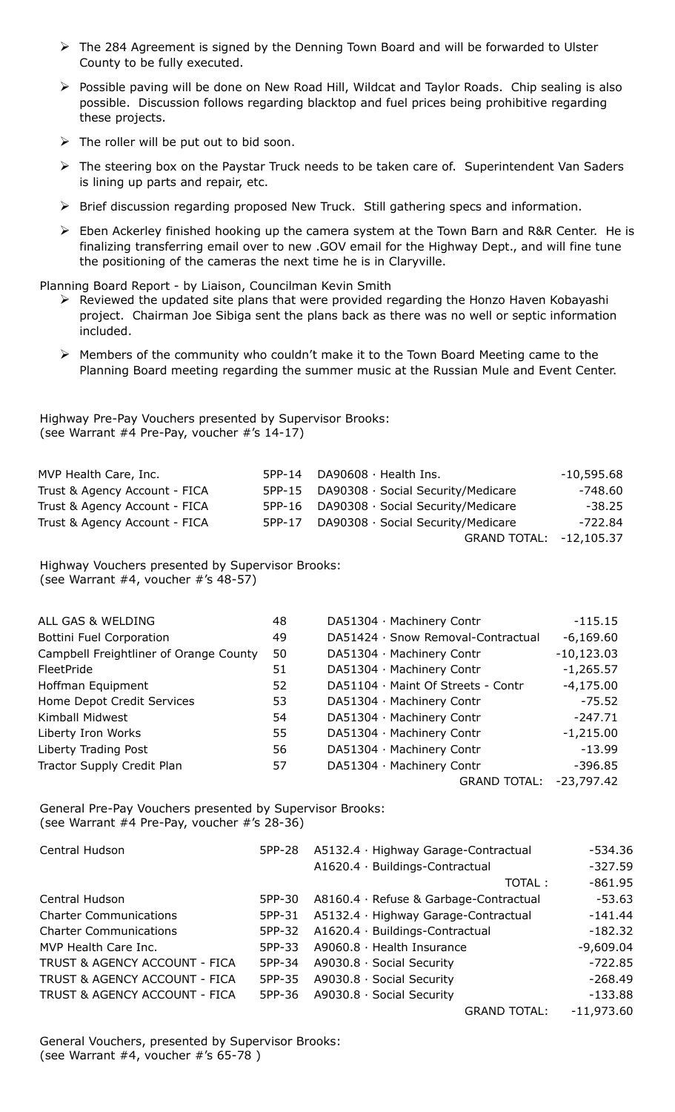- $\triangleright$  The 284 Agreement is signed by the Denning Town Board and will be forwarded to Ulster County to be fully executed.
- Possible paving will be done on New Road Hill, Wildcat and Taylor Roads. Chip sealing is also possible. Discussion follows regarding blacktop and fuel prices being prohibitive regarding these projects.
- $\triangleright$  The roller will be put out to bid soon.
- The steering box on the Paystar Truck needs to be taken care of. Superintendent Van Saders is lining up parts and repair, etc.
- ▶ Brief discussion regarding proposed New Truck. Still gathering specs and information.
- $\triangleright$  Eben Ackerley finished hooking up the camera system at the Town Barn and R&R Center. He is finalizing transferring email over to new .GOV email for the Highway Dept., and will fine tune the positioning of the cameras the next time he is in Claryville.

Planning Board Report - by Liaison, Councilman Kevin Smith

- $\triangleright$  Reviewed the updated site plans that were provided regarding the Honzo Haven Kobayashi project. Chairman Joe Sibiga sent the plans back as there was no well or septic information included.
- Members of the community who couldn't make it to the Town Board Meeting came to the Planning Board meeting regarding the summer music at the Russian Mule and Event Center.

Highway Pre-Pay Vouchers presented by Supervisor Brooks: (see Warrant #4 Pre-Pay, voucher #'s 14-17)

| MVP Health Care, Inc.         | 5PP-14 | DA90608 · Health Ins.                     | $-10,595.68$ |
|-------------------------------|--------|-------------------------------------------|--------------|
| Trust & Agency Account - FICA |        | 5PP-15 DA90308 · Social Security/Medicare | -748.60      |
| Trust & Agency Account - FICA |        | 5PP-16 DA90308 · Social Security/Medicare | $-38.25$     |
| Trust & Agency Account - FICA |        | 5PP-17 DA90308 · Social Security/Medicare | -722.84      |
|                               |        | GRAND TOTAL: -12,105.37                   |              |

Highway Vouchers presented by Supervisor Brooks: (see Warrant #4, voucher #'s 48-57)

| ALL GAS & WELDING                      | 48 | DA51304 · Machinery Contr          | $-115.15$    |
|----------------------------------------|----|------------------------------------|--------------|
| Bottini Fuel Corporation               | 49 | DA51424 · Snow Removal-Contractual | $-6,169.60$  |
| Campbell Freightliner of Orange County | 50 | DA51304 · Machinery Contr          | $-10,123.03$ |
| FleetPride                             | 51 | DA51304 · Machinery Contr          | $-1,265.57$  |
| Hoffman Equipment                      | 52 | DA51104 · Maint Of Streets - Contr | $-4,175.00$  |
| Home Depot Credit Services             | 53 | DA51304 · Machinery Contr          | $-75.52$     |
| Kimball Midwest                        | 54 | DA51304 · Machinery Contr          | $-247.71$    |
| Liberty Iron Works                     | 55 | DA51304 · Machinery Contr          | $-1,215.00$  |
| Liberty Trading Post                   | 56 | DA51304 · Machinery Contr          | $-13.99$     |
| Tractor Supply Credit Plan             | 57 | DA51304 · Machinery Contr          | $-396.85$    |
|                                        |    | <b>GRAND TOTAL:</b>                | $-23,797.42$ |

General Pre-Pay Vouchers presented by Supervisor Brooks: (see Warrant #4 Pre-Pay, voucher #'s 28-36)

| Central Hudson                | 5PP-28 | A5132.4 · Highway Garage-Contractual   | $-534.36$    |
|-------------------------------|--------|----------------------------------------|--------------|
|                               |        | A1620.4 · Buildings-Contractual        | $-327.59$    |
|                               |        | TOTAL:                                 | $-861.95$    |
| Central Hudson                | 5PP-30 | A8160.4 · Refuse & Garbage-Contractual | $-53.63$     |
| <b>Charter Communications</b> | 5PP-31 | A5132.4 · Highway Garage-Contractual   | $-141.44$    |
| <b>Charter Communications</b> | 5PP-32 | A1620.4 · Buildings-Contractual        | $-182.32$    |
| MVP Health Care Inc.          | 5PP-33 | $A9060.8 \cdot$ Health Insurance       | $-9,609.04$  |
| TRUST & AGENCY ACCOUNT - FICA | 5PP-34 | A9030.8 · Social Security              | $-722.85$    |
| TRUST & AGENCY ACCOUNT - FICA | 5PP-35 | A9030.8 · Social Security              | $-268.49$    |
| TRUST & AGENCY ACCOUNT - FICA | 5PP-36 | A9030.8 · Social Security              | $-133.88$    |
|                               |        | <b>GRAND TOTAL:</b>                    | $-11,973.60$ |

General Vouchers, presented by Supervisor Brooks: (see Warrant #4, voucher #'s 65-78 )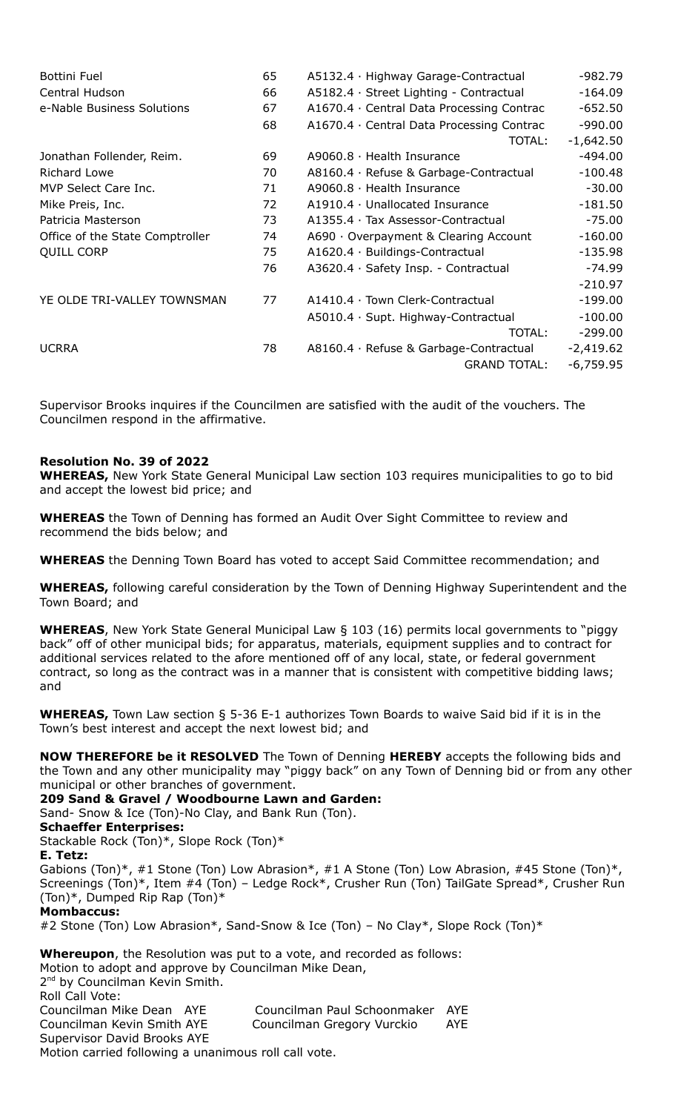| <b>Bottini Fuel</b>             | 65 | A5132.4 · Highway Garage-Contractual      | -982.79     |
|---------------------------------|----|-------------------------------------------|-------------|
| Central Hudson                  | 66 | A5182.4 · Street Lighting - Contractual   | $-164.09$   |
| e-Nable Business Solutions      | 67 | A1670.4 · Central Data Processing Contrac | $-652.50$   |
|                                 | 68 | A1670.4 · Central Data Processing Contrac | $-990.00$   |
|                                 |    | TOTAL:                                    | $-1,642.50$ |
| Jonathan Follender, Reim.       | 69 | $A9060.8 \cdot$ Health Insurance          | $-494.00$   |
| Richard Lowe                    | 70 | A8160.4 · Refuse & Garbage-Contractual    | $-100.48$   |
| MVP Select Care Inc.            | 71 | $A9060.8 \cdot$ Health Insurance          | $-30.00$    |
| Mike Preis, Inc.                | 72 | $A1910.4 \cdot$ Unallocated Insurance     | $-181.50$   |
| Patricia Masterson              | 73 | A1355.4 · Tax Assessor-Contractual        | $-75.00$    |
| Office of the State Comptroller | 74 | A690 · Overpayment & Clearing Account     | $-160.00$   |
| <b>QUILL CORP</b>               | 75 | A1620.4 · Buildings-Contractual           | $-135.98$   |
|                                 | 76 | A3620.4 · Safety Insp. - Contractual      | $-74.99$    |
|                                 |    |                                           | $-210.97$   |
| YE OLDE TRI-VALLEY TOWNSMAN     | 77 | A1410.4 · Town Clerk-Contractual          | $-199.00$   |
|                                 |    | A5010.4 · Supt. Highway-Contractual       | $-100.00$   |
|                                 |    | TOTAL:                                    | $-299.00$   |
| <b>UCRRA</b>                    | 78 | A8160.4 · Refuse & Garbage-Contractual    | $-2,419.62$ |
|                                 |    | <b>GRAND TOTAL:</b>                       | $-6,759.95$ |
|                                 |    |                                           |             |

Supervisor Brooks inquires if the Councilmen are satisfied with the audit of the vouchers. The Councilmen respond in the affirmative.

## **Resolution No. 39 of 2022**

**WHEREAS,** New York State General Municipal Law section 103 requires municipalities to go to bid and accept the lowest bid price; and

**WHEREAS** the Town of Denning has formed an Audit Over Sight Committee to review and recommend the bids below; and

**WHEREAS** the Denning Town Board has voted to accept Said Committee recommendation; and

**WHEREAS,** following careful consideration by the Town of Denning Highway Superintendent and the Town Board; and

**WHEREAS**, New York State General Municipal Law § 103 (16) permits local governments to "piggy back" off of other municipal bids; for apparatus, materials, equipment supplies and to contract for additional services related to the afore mentioned off of any local, state, or federal government contract, so long as the contract was in a manner that is consistent with competitive bidding laws; and

**WHEREAS,** Town Law section § 5-36 E-1 authorizes Town Boards to waive Said bid if it is in the Town's best interest and accept the next lowest bid; and

**NOW THEREFORE be it RESOLVED** The Town of Denning **HEREBY** accepts the following bids and the Town and any other municipality may "piggy back" on any Town of Denning bid or from any other municipal or other branches of government.

**209 Sand & Gravel / Woodbourne Lawn and Garden:** 

Sand- Snow & Ice (Ton)-No Clay, and Bank Run (Ton).

# **Schaeffer Enterprises:**

Stackable Rock (Ton)\*, Slope Rock (Ton)\*

#### **E. Tetz:**

Gabions (Ton)\*, #1 Stone (Ton) Low Abrasion\*, #1 A Stone (Ton) Low Abrasion, #45 Stone (Ton)\*, Screenings (Ton)\*, Item #4 (Ton) – Ledge Rock\*, Crusher Run (Ton) TailGate Spread\*, Crusher Run (Ton)\*, Dumped Rip Rap (Ton)\*

## **Mombaccus:**

#2 Stone (Ton) Low Abrasion\*, Sand-Snow & Ice (Ton) – No Clay\*, Slope Rock (Ton)\*

**Whereupon**, the Resolution was put to a vote, and recorded as follows: Motion to adopt and approve by Councilman Mike Dean, 2<sup>nd</sup> by Councilman Kevin Smith. Roll Call Vote: Councilman Mike Dean AYE Councilman Paul Schoonmaker AYE Councilman Kevin Smith AYE Councilman Gregory Vurckio AYE Supervisor David Brooks AYE Motion carried following a unanimous roll call vote.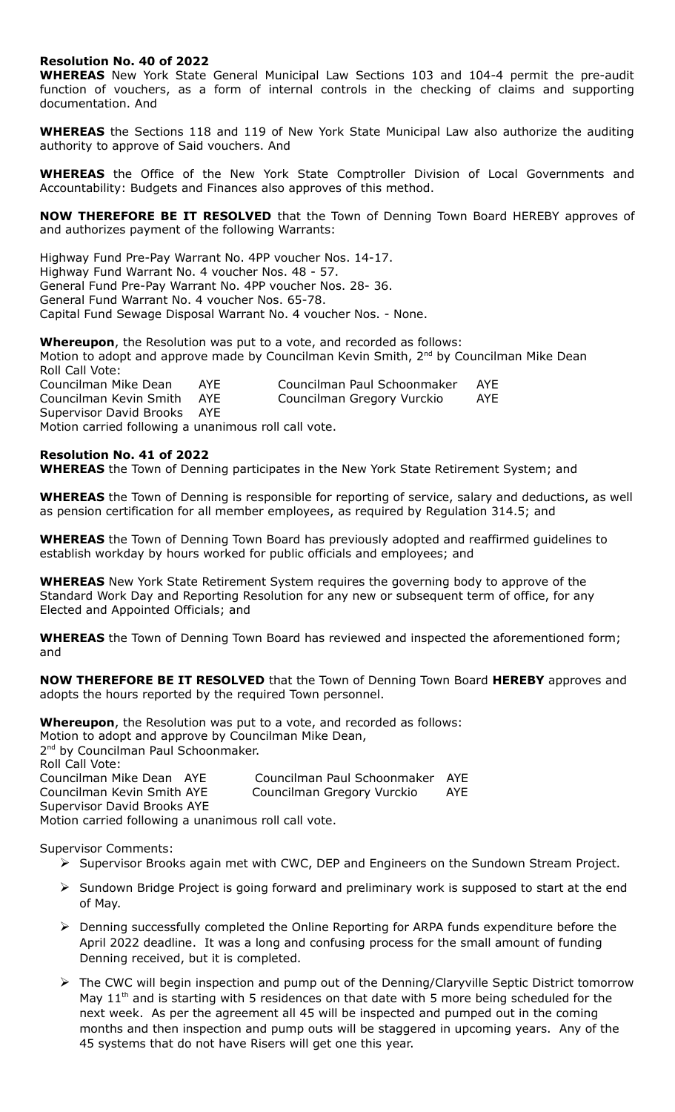# **Resolution No. 40 of 2022**

**WHEREAS** New York State General Municipal Law Sections 103 and 104-4 permit the pre-audit function of vouchers, as a form of internal controls in the checking of claims and supporting documentation. And

**WHEREAS** the Sections 118 and 119 of New York State Municipal Law also authorize the auditing authority to approve of Said vouchers. And

**WHEREAS** the Office of the New York State Comptroller Division of Local Governments and Accountability: Budgets and Finances also approves of this method.

**NOW THEREFORE BE IT RESOLVED** that the Town of Denning Town Board HEREBY approves of and authorizes payment of the following Warrants:

Highway Fund Pre-Pay Warrant No. 4PP voucher Nos. 14-17. Highway Fund Warrant No. 4 voucher Nos. 48 - 57. General Fund Pre-Pay Warrant No. 4PP voucher Nos. 28- 36. General Fund Warrant No. 4 voucher Nos. 65-78. Capital Fund Sewage Disposal Warrant No. 4 voucher Nos. - None.

**Whereupon**, the Resolution was put to a vote, and recorded as follows: Motion to adopt and approve made by Councilman Kevin Smith, 2<sup>nd</sup> by Councilman Mike Dean Roll Call Vote: Councilman Mike Dean AYE Councilman Paul Schoonmaker AYE Councilman Kevin Smith AYE Councilman Gregory Vurckio AYE

Supervisor David Brooks AYE Motion carried following a unanimous roll call vote.

## **Resolution No. 41 of 2022**

**WHEREAS** the Town of Denning participates in the New York State Retirement System; and

**WHEREAS** the Town of Denning is responsible for reporting of service, salary and deductions, as well as pension certification for all member employees, as required by Regulation 314.5; and

**WHEREAS** the Town of Denning Town Board has previously adopted and reaffirmed guidelines to establish workday by hours worked for public officials and employees; and

**WHEREAS** New York State Retirement System requires the governing body to approve of the Standard Work Day and Reporting Resolution for any new or subsequent term of office, for any Elected and Appointed Officials; and

**WHEREAS** the Town of Denning Town Board has reviewed and inspected the aforementioned form; and

**NOW THEREFORE BE IT RESOLVED** that the Town of Denning Town Board **HEREBY** approves and adopts the hours reported by the required Town personnel.

**Whereupon**, the Resolution was put to a vote, and recorded as follows: Motion to adopt and approve by Councilman Mike Dean, 2<sup>nd</sup> by Councilman Paul Schoonmaker. Roll Call Vote: Councilman Mike Dean AYE Councilman Paul Schoonmaker AYE Councilman Kevin Smith AYE Councilman Gregory Vurckio AYE Supervisor David Brooks AYE Motion carried following a unanimous roll call vote.

Supervisor Comments:

- $\triangleright$  Supervisor Brooks again met with CWC, DEP and Engineers on the Sundown Stream Project.
- $\triangleright$  Sundown Bridge Project is going forward and preliminary work is supposed to start at the end of May.
- Denning successfully completed the Online Reporting for ARPA funds expenditure before the April 2022 deadline. It was a long and confusing process for the small amount of funding Denning received, but it is completed.
- > The CWC will begin inspection and pump out of the Denning/Claryville Septic District tomorrow May  $11<sup>th</sup>$  and is starting with 5 residences on that date with 5 more being scheduled for the next week. As per the agreement all 45 will be inspected and pumped out in the coming months and then inspection and pump outs will be staggered in upcoming years. Any of the 45 systems that do not have Risers will get one this year.